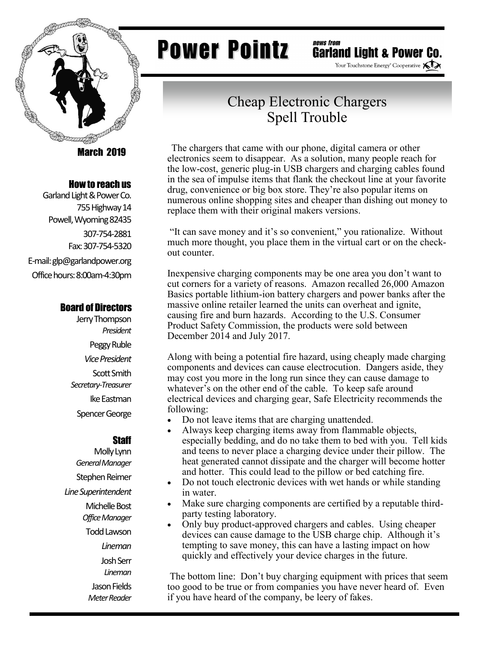

March 2019

#### How to reach us

Garland Light & Power Co. 755 Highway 14 Powell, Wyoming 82435 307-754-2881 Fax: 307-754-5320 E-mail: glp@garlandpower.org Office hours: 8:00am-4:30pm

#### Board of Directors

Jerry Thompson *President* Peggy Ruble *Vice President* Scott Smith *Secretary-Treasurer* Ike Eastman Spencer George

### **Staff**

Molly Lynn *General Manager* Stephen Reimer *Line Superintendent* Michelle Bost *Office Manager* Todd Lawson *Lineman* Josh Serr *Lineman* Jason Fields *Meter Reader*

## **Power Pointz**

news from **Garland Light & Power Co.** 

Your Touchstone Energy<sup>®</sup> Cooperative **XIX** 

### Cheap Electronic Chargers Spell Trouble

 The chargers that came with our phone, digital camera or other electronics seem to disappear. As a solution, many people reach for the low-cost, generic plug-in USB chargers and charging cables found in the sea of impulse items that flank the checkout line at your favorite drug, convenience or big box store. They're also popular items on numerous online shopping sites and cheaper than dishing out money to replace them with their original makers versions.

"It can save money and it's so convenient," you rationalize. Without much more thought, you place them in the virtual cart or on the checkout counter.

Inexpensive charging components may be one area you don't want to cut corners for a variety of reasons. Amazon recalled 26,000 Amazon Basics portable lithium-ion battery chargers and power banks after the massive online retailer learned the units can overheat and ignite, causing fire and burn hazards. According to the U.S. Consumer Product Safety Commission, the products were sold between December 2014 and July 2017.

Along with being a potential fire hazard, using cheaply made charging components and devices can cause electrocution. Dangers aside, they may cost you more in the long run since they can cause damage to whatever's on the other end of the cable. To keep safe around electrical devices and charging gear, Safe Electricity recommends the following:

- Do not leave items that are charging unattended.
- Always keep charging items away from flammable objects, especially bedding, and do no take them to bed with you. Tell kids and teens to never place a charging device under their pillow. The heat generated cannot dissipate and the charger will become hotter and hotter. This could lead to the pillow or bed catching fire.
- Do not touch electronic devices with wet hands or while standing in water.
- Make sure charging components are certified by a reputable thirdparty testing laboratory.
- Only buy product-approved chargers and cables. Using cheaper devices can cause damage to the USB charge chip. Although it's tempting to save money, this can have a lasting impact on how quickly and effectively your device charges in the future.

The bottom line: Don't buy charging equipment with prices that seem too good to be true or from companies you have never heard of. Even if you have heard of the company, be leery of fakes.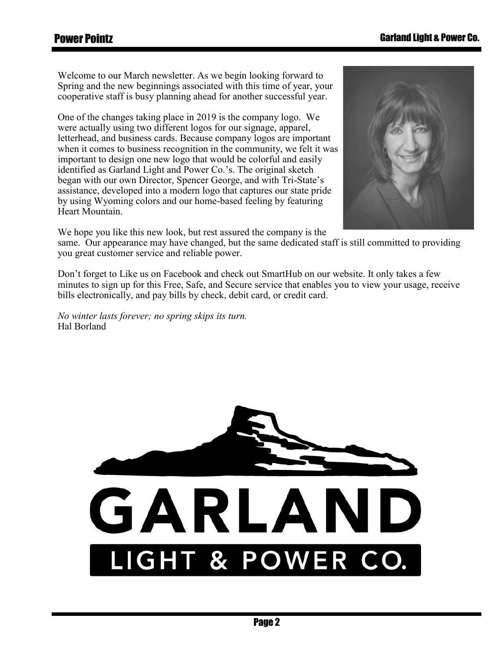Welcome to our March newsletter. As we begin looking forward to Spring and the new beginnings associated with this time of year, your cooperative staff is busy planning ahead for another successful year.

One of the changes taking place in 2019 is the company logo. We were actually using two different logos for our signage, apparel, letterhead, and business cards. Because company logos are important when it comes to business recognition in the community, we felt it was important to design one new logo that would be colorful and easily identified as Garland Light and Power Co.'s. The original sketch began with our own Director, Spencer George, and with Tri-State's assistance, developed into a modern logo that captures our state pride by using Wyoming colors and our home-based feeling by featuring Heart Mountain.

We hope you like this new look, but rest assured the company is the

same. Our appearance may have changed, but the same dedicated staff is still committed to providing you great customer service and reliable power.

Don't forget to Like us on Facebook and check out SmartHub on our website. It only takes a few minutes to sign up for this Free, Safe, and Secure service that enables you to view your usage, receive bills electronically, and pay bills by check, debit card, or credit card.

*No winter lasts forever; no spring skips its turn.* Hal Borland



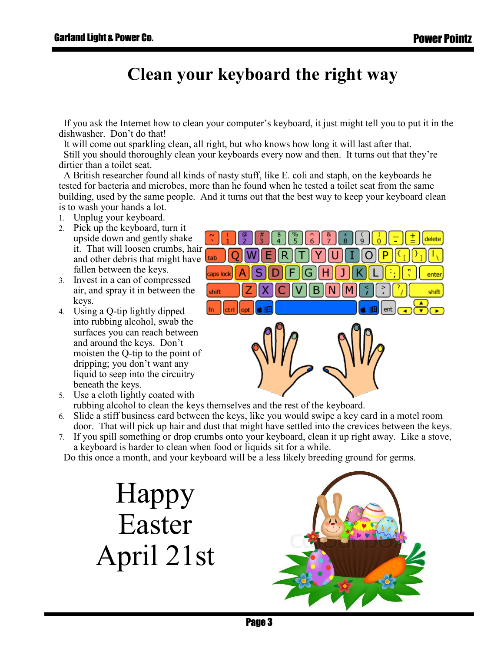## **Clean your keyboard the right way**

 If you ask the Internet how to clean your computer's keyboard, it just might tell you to put it in the dishwasher. Don't do that!

 It will come out sparkling clean, all right, but who knows how long it will last after that. Still you should thoroughly clean your keyboards every now and then. It turns out that they're dirtier than a toilet seat.

 A British researcher found all kinds of nasty stuff, like E. coli and staph, on the keyboards he tested for bacteria and microbes, more than he found when he tested a toilet seat from the same building, used by the same people. And it turns out that the best way to keep your keyboard clean is to wash your hands a lot.

- Unplug your keyboard.
- 2. Pick up the keyboard, turn it upside down and gently shake it. That will loosen crumbs, hair and other debris that might have fallen between the keys.
- 3. Invest in a can of compressed air, and spray it in between the keys.
- Using a Q-tip lightly dipped into rubbing alcohol, swab the surfaces you can reach between and around the keys. Don't moisten the Q-tip to the point of dripping; you don't want any liquid to seep into the circuitry beneath the keys.



- Use a cloth lightly coated with rubbing alcohol to clean the keys themselves and the rest of the keyboard.
- Slide a stiff business card between the keys, like you would swipe a key card in a motel room door. That will pick up hair and dust that might have settled into the crevices between the keys.
- If you spill something or drop crumbs onto your keyboard, clean it up right away. Like a stove, a keyboard is harder to clean when food or liquids sit for a while.

Do this once a month, and your keyboard will be a less likely breeding ground for germs.